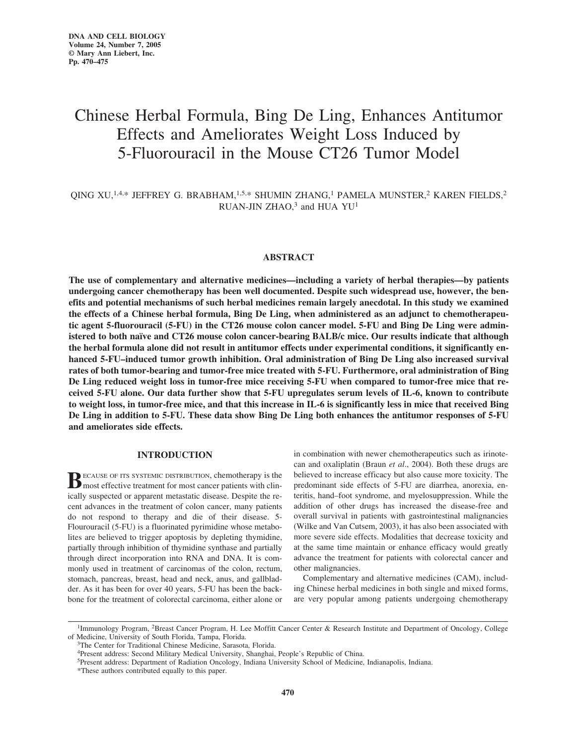# Chinese Herbal Formula, Bing De Ling, Enhances Antitumor Effects and Ameliorates Weight Loss Induced by 5-Fluorouracil in the Mouse CT26 Tumor Model

# QING XU,<sup>1,4,\*</sup> JEFFREY G. BRABHAM,<sup>1,5,\*</sup> SHUMIN ZHANG,<sup>1</sup> PAMELA MUNSTER,<sup>2</sup> KAREN FIELDS,<sup>2</sup> RUAN-JIN ZHAO, $3$  and HUA YU<sup>1</sup>

## **ABSTRACT**

**The use of complementary and alternative medicines—including a variety of herbal therapies—by patients undergoing cancer chemotherapy has been well documented. Despite such widespread use, however, the benefits and potential mechanisms of such herbal medicines remain largely anecdotal. In this study we examined the effects of a Chinese herbal formula, Bing De Ling, when administered as an adjunct to chemotherapeutic agent 5-fluorouracil (5-FU) in the CT26 mouse colon cancer model. 5-FU and Bing De Ling were administered to both naïve and CT26 mouse colon cancer-bearing BALB/c mice. Our results indicate that although the herbal formula alone did not result in antitumor effects under experimental conditions, it significantly enhanced 5-FU–induced tumor growth inhibition. Oral administration of Bing De Ling also increased survival rates of both tumor-bearing and tumor-free mice treated with 5-FU. Furthermore, oral administration of Bing De Ling reduced weight loss in tumor-free mice receiving 5-FU when compared to tumor-free mice that received 5-FU alone. Our data further show that 5-FU upregulates serum levels of IL-6, known to contribute to weight loss, in tumor-free mice, and that this increase in IL-6 is significantly less in mice that received Bing De Ling in addition to 5-FU. These data show Bing De Ling both enhances the antitumor responses of 5-FU and ameliorates side effects.**

# **INTRODUCTION**

**BECAUSE OF ITS SYSTEMIC DISTRIBUTION, chemotherapy is the most effective treatment for most cancer patients with clin**ically suspected or apparent metastatic disease. Despite the recent advances in the treatment of colon cancer, many patients do not respond to therapy and die of their disease. 5- Flourouracil (5-FU) is a fluorinated pyrimidine whose metabolites are believed to trigger apoptosis by depleting thymidine, partially through inhibition of thymidine synthase and partially through direct incorporation into RNA and DNA. It is commonly used in treatment of carcinomas of the colon, rectum, stomach, pancreas, breast, head and neck, anus, and gallbladder. As it has been for over 40 years, 5-FU has been the backbone for the treatment of colorectal carcinoma, either alone or

in combination with newer chemotherapeutics such as irinotecan and oxaliplatin (Braun *et al*., 2004). Both these drugs are believed to increase efficacy but also cause more toxicity. The predominant side effects of 5-FU are diarrhea, anorexia, enteritis, hand–foot syndrome, and myelosuppression. While the addition of other drugs has increased the disease-free and overall survival in patients with gastrointestinal malignancies (Wilke and Van Cutsem, 2003), it has also been associated with more severe side effects. Modalities that decrease toxicity and at the same time maintain or enhance efficacy would greatly advance the treatment for patients with colorectal cancer and other malignancies.

Complementary and alternative medicines (CAM), including Chinese herbal medicines in both single and mixed forms, are very popular among patients undergoing chemotherapy

<sup>&</sup>lt;sup>1</sup>Immunology Program, <sup>2</sup>Breast Cancer Program, H. Lee Moffitt Cancer Center & Research Institute and Department of Oncology, College of Medicine, University of South Florida, Tampa, Florida.

<sup>&</sup>lt;sup>3</sup>The Center for Traditional Chinese Medicine, Sarasota, Florida.

<sup>4</sup>Present address: Second Military Medical University, Shanghai, People's Republic of China.

<sup>5</sup>Present address: Department of Radiation Oncology, Indiana University School of Medicine, Indianapolis, Indiana.

<sup>\*</sup>These authors contributed equally to this paper.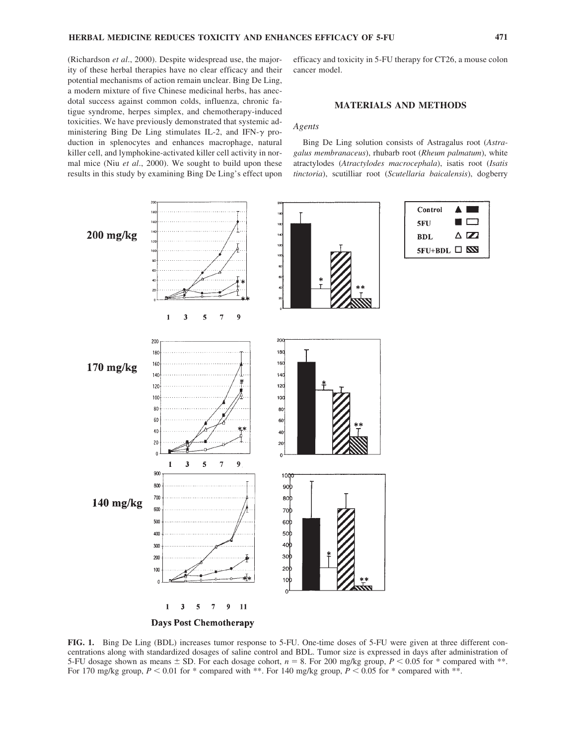(Richardson *et al*., 2000). Despite widespread use, the majority of these herbal therapies have no clear efficacy and their potential mechanisms of action remain unclear. Bing De Ling, a modern mixture of five Chinese medicinal herbs, has anecdotal success against common colds, influenza, chronic fatigue syndrome, herpes simplex, and chemotherapy-induced toxicities. We have previously demonstrated that systemic administering Bing De Ling stimulates IL-2, and IFN- $\gamma$  production in splenocytes and enhances macrophage, natural killer cell, and lymphokine-activated killer cell activity in normal mice (Niu *et al*., 2000). We sought to build upon these results in this study by examining Bing De Ling's effect upon

efficacy and toxicity in 5-FU therapy for CT26, a mouse colon cancer model.

## **MATERIALS AND METHODS**

#### *Agents*

Bing De Ling solution consists of Astragalus root (*Astragalus membranaceus*), rhubarb root (*Rheum palmatum*), white atractylodes (*Atractylodes macrocephala*), isatis root (*Isatis tinctoria*), scutilliar root (*Scutellaria baicalensis*), dogberry

Control

**5FU** 

**BDL** 

A

5FU+BDL □ **EN** 

 $\blacksquare$ 

 $\triangle \mathbb{Z}$ 



**FIG. 1.** Bing De Ling (BDL) increases tumor response to 5-FU. One-time doses of 5-FU were given at three different concentrations along with standardized dosages of saline control and BDL. Tumor size is expressed in days after administration of 5-FU dosage shown as means  $\pm$  SD. For each dosage cohort,  $n = 8$ . For 200 mg/kg group,  $P \le 0.05$  for \* compared with \*\*. For 170 mg/kg group,  $P < 0.01$  for \* compared with \*\*. For 140 mg/kg group,  $P < 0.05$  for \* compared with \*\*.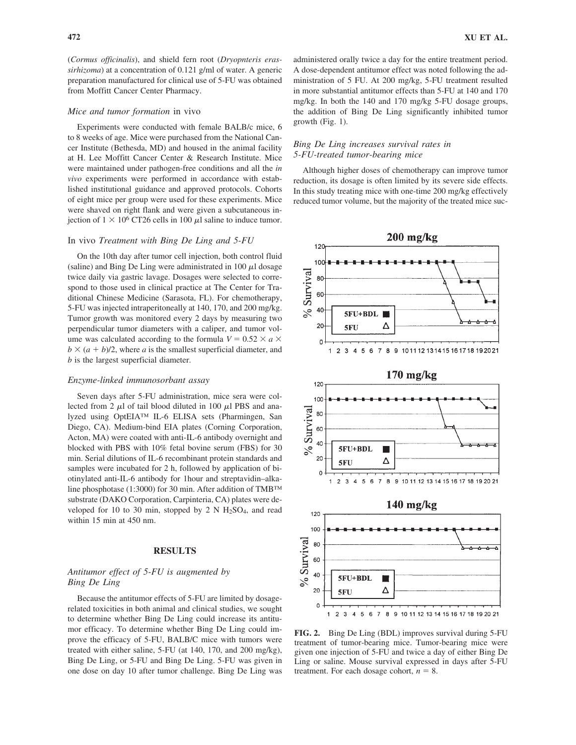(*Cormus officinalis*), and shield fern root (*Dryopnteris erassirhizoma*) at a concentration of 0.121 g/ml of water. A generic preparation manufactured for clinical use of 5-FU was obtained from Moffitt Cancer Center Pharmacy.

#### *Mice and tumor formation* in vivo

Experiments were conducted with female BALB/c mice, 6 to 8 weeks of age. Mice were purchased from the National Cancer Institute (Bethesda, MD) and housed in the animal facility at H. Lee Moffitt Cancer Center & Research Institute. Mice were maintained under pathogen-free conditions and all the *in vivo* experiments were performed in accordance with established institutional guidance and approved protocols. Cohorts of eight mice per group were used for these experiments. Mice were shaved on right flank and were given a subcutaneous injection of  $1 \times 10^6$  CT26 cells in 100  $\mu$ l saline to induce tumor.

#### In vivo *Treatment with Bing De Ling and 5-FU*

On the 10th day after tumor cell injection, both control fluid  $(saline)$  and Bing De Ling were administrated in 100  $\mu$ l dosage twice daily via gastric lavage. Dosages were selected to correspond to those used in clinical practice at The Center for Traditional Chinese Medicine (Sarasota, FL). For chemotherapy, 5-FU was injected intraperitoneally at 140, 170, and 200 mg/kg. Tumor growth was monitored every 2 days by measuring two perpendicular tumor diameters with a caliper, and tumor volume was calculated according to the formula  $V = 0.52 \times a \times a$  $b \times (a + b)/2$ , where *a* is the smallest superficial diameter, and *b* is the largest superficial diameter.

#### *Enzyme-linked immunosorbant assay*

Seven days after 5-FU administration, mice sera were collected from 2  $\mu$ l of tail blood diluted in 100  $\mu$ l PBS and analyzed using OptEIA™ IL-6 ELISA sets (Pharmingen, San Diego, CA). Medium-bind EIA plates (Corning Corporation, Acton, MA) were coated with anti-IL-6 antibody overnight and blocked with PBS with 10% fetal bovine serum (FBS) for 30 min. Serial dilutions of IL-6 recombinant protein standards and samples were incubated for 2 h, followed by application of biotinylated anti-IL-6 antibody for 1hour and streptavidin–alkaline phosphotase (1:3000) for 30 min. After addition of TMB™ substrate (DAKO Corporation, Carpinteria, CA) plates were developed for 10 to 30 min, stopped by 2 N  $H<sub>2</sub>SO<sub>4</sub>$ , and read within 15 min at 450 nm.

### **RESULTS**

## *Antitumor effect of 5-FU is augmented by Bing De Ling*

Because the antitumor effects of 5-FU are limited by dosagerelated toxicities in both animal and clinical studies, we sought to determine whether Bing De Ling could increase its antitumor efficacy. To determine whether Bing De Ling could improve the efficacy of 5-FU, BALB/C mice with tumors were treated with either saline, 5-FU (at 140, 170, and 200 mg/kg), Bing De Ling, or 5-FU and Bing De Ling. 5-FU was given in one dose on day 10 after tumor challenge. Bing De Ling was

administered orally twice a day for the entire treatment period. A dose-dependent antitumor effect was noted following the administration of 5 FU. At 200 mg/kg, 5-FU treatment resulted in more substantial antitumor effects than 5-FU at 140 and 170 mg/kg. In both the 140 and 170 mg/kg 5-FU dosage groups, the addition of Bing De Ling significantly inhibited tumor growth (Fig. 1).

## *Bing De Ling increases survival rates in 5-FU-treated tumor-bearing mice*

Although higher doses of chemotherapy can improve tumor reduction, its dosage is often limited by its severe side effects. In this study treating mice with one-time 200 mg/kg effectively reduced tumor volume, but the majority of the treated mice suc-



**FIG. 2.** Bing De Ling (BDL) improves survival during 5-FU treatment of tumor-bearing mice. Tumor-bearing mice were given one injection of 5-FU and twice a day of either Bing De Ling or saline. Mouse survival expressed in days after 5-FU treatment. For each dosage cohort,  $n = 8$ .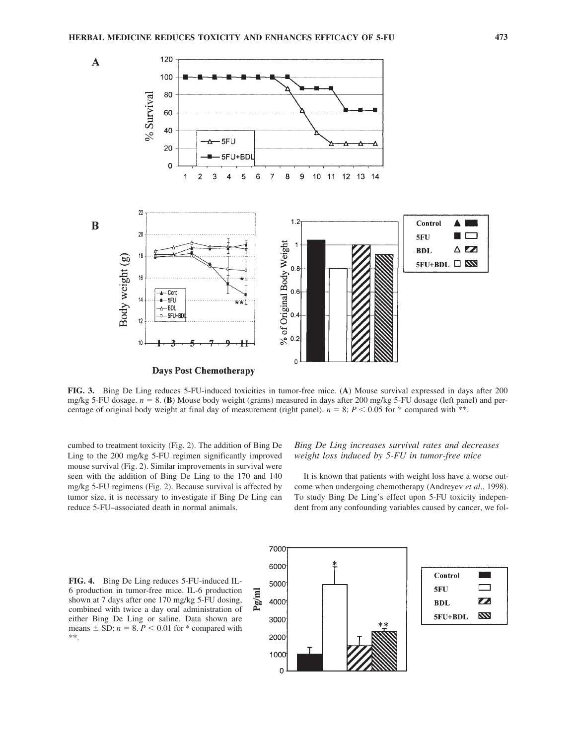

**FIG. 3.** Bing De Ling reduces 5-FU-induced toxicities in tumor-free mice. (**A**) Mouse survival expressed in days after 200 mg/kg 5-FU dosage.  $n = 8$ . (B) Mouse body weight (grams) measured in days after 200 mg/kg 5-FU dosage (left panel) and percentage of original body weight at final day of measurement (right panel).  $n = 8$ ;  $P < 0.05$  for  $*$  compared with  $**$ .

cumbed to treatment toxicity (Fig. 2). The addition of Bing De Ling to the 200 mg/kg 5-FU regimen significantly improved mouse survival (Fig. 2). Similar improvements in survival were seen with the addition of Bing De Ling to the 170 and 140 mg/kg 5-FU regimens (Fig. 2). Because survival is affected by tumor size, it is necessary to investigate if Bing De Ling can reduce 5-FU–associated death in normal animals.

# *Bing De Ling increases survival rates and decreases weight loss induced by 5-FU in tumor-free mice*

It is known that patients with weight loss have a worse outcome when undergoing chemotherapy (Andreyev *et al*., 1998). To study Bing De Ling's effect upon 5-FU toxicity independent from any confounding variables caused by cancer, we fol-

**FIG. 4.** Bing De Ling reduces 5-FU-induced IL-6 production in tumor-free mice. IL-6 production shown at 7 days after one 170 mg/kg 5-FU dosing, combined with twice a day oral administration of either Bing De Ling or saline. Data shown are means  $\pm$  SD;  $n = 8$ .  $P < 0.01$  for  $*$  compared with \*\*.



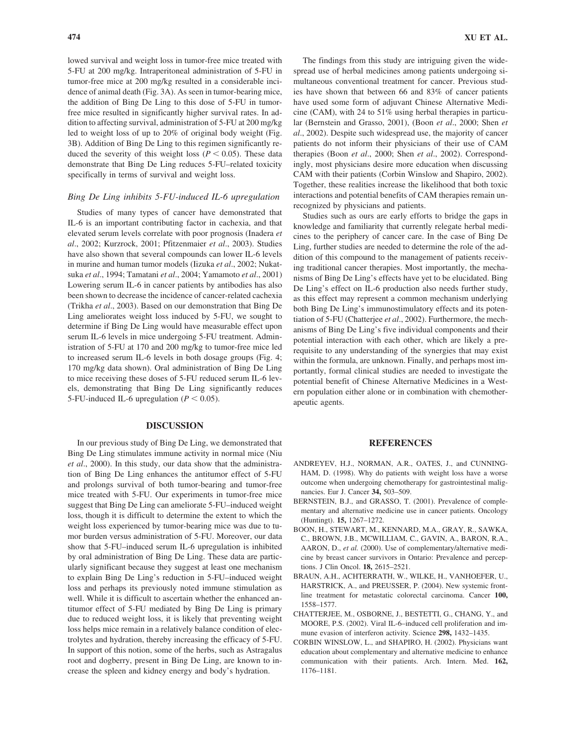lowed survival and weight loss in tumor-free mice treated with 5-FU at 200 mg/kg. Intraperitoneal administration of 5-FU in tumor-free mice at 200 mg/kg resulted in a considerable incidence of animal death (Fig. 3A). As seen in tumor-bearing mice, the addition of Bing De Ling to this dose of 5-FU in tumorfree mice resulted in significantly higher survival rates. In addition to affecting survival, administration of 5-FU at 200 mg/kg led to weight loss of up to 20% of original body weight (Fig. 3B). Addition of Bing De Ling to this regimen significantly reduced the severity of this weight loss ( $P \le 0.05$ ). These data demonstrate that Bing De Ling reduces 5-FU–related toxicity specifically in terms of survival and weight loss.

## *Bing De Ling inhibits 5-FU-induced IL-6 upregulation*

Studies of many types of cancer have demonstrated that IL-6 is an important contributing factor in cachexia, and that elevated serum levels correlate with poor prognosis (Inadera *et al*., 2002; Kurzrock, 2001; Pfitzenmaier *et al*., 2003). Studies have also shown that several compounds can lower IL-6 levels in murine and human tumor models (Iizuka *et al*., 2002; Nukatsuka *et al*., 1994; Tamatani *et al*., 2004; Yamamoto *et al*., 2001) Lowering serum IL-6 in cancer patients by antibodies has also been shown to decrease the incidence of cancer-related cachexia (Trikha *et al*., 2003). Based on our demonstration that Bing De Ling ameliorates weight loss induced by 5-FU, we sought to determine if Bing De Ling would have measurable effect upon serum IL-6 levels in mice undergoing 5-FU treatment. Administration of 5-FU at 170 and 200 mg/kg to tumor-free mice led to increased serum IL-6 levels in both dosage groups (Fig. 4; 170 mg/kg data shown). Oral administration of Bing De Ling to mice receiving these doses of 5-FU reduced serum IL-6 levels, demonstrating that Bing De Ling significantly reduces 5-FU-induced IL-6 upregulation  $(P < 0.05)$ .

## **DISCUSSION**

In our previous study of Bing De Ling, we demonstrated that Bing De Ling stimulates immune activity in normal mice (Niu *et al*., 2000). In this study, our data show that the administration of Bing De Ling enhances the antitumor effect of 5-FU and prolongs survival of both tumor-bearing and tumor-free mice treated with 5-FU. Our experiments in tumor-free mice suggest that Bing De Ling can ameliorate 5-FU–induced weight loss, though it is difficult to determine the extent to which the weight loss experienced by tumor-bearing mice was due to tumor burden versus administration of 5-FU. Moreover, our data show that 5-FU–induced serum IL-6 upregulation is inhibited by oral administration of Bing De Ling. These data are particularly significant because they suggest at least one mechanism to explain Bing De Ling's reduction in 5-FU–induced weight loss and perhaps its previously noted immune stimulation as well. While it is difficult to ascertain whether the enhanced antitumor effect of 5-FU mediated by Bing De Ling is primary due to reduced weight loss, it is likely that preventing weight loss helps mice remain in a relatively balance condition of electrolytes and hydration, thereby increasing the efficacy of 5-FU. In support of this notion, some of the herbs, such as Astragalus root and dogberry, present in Bing De Ling, are known to increase the spleen and kidney energy and body's hydration.

The findings from this study are intriguing given the widespread use of herbal medicines among patients undergoing simultaneous conventional treatment for cancer. Previous studies have shown that between 66 and 83% of cancer patients have used some form of adjuvant Chinese Alternative Medicine (CAM), with 24 to 51% using herbal therapies in particular (Bernstein and Grasso, 2001), (Boon *et al*., 2000; Shen *et al*., 2002). Despite such widespread use, the majority of cancer patients do not inform their physicians of their use of CAM therapies (Boon *et al*., 2000; Shen *et al*., 2002). Correspondingly, most physicians desire more education when discussing CAM with their patients (Corbin Winslow and Shapiro, 2002). Together, these realities increase the likelihood that both toxic interactions and potential benefits of CAM therapies remain unrecognized by physicians and patients.

Studies such as ours are early efforts to bridge the gaps in knowledge and familiarity that currently relegate herbal medicines to the periphery of cancer care. In the case of Bing De Ling, further studies are needed to determine the role of the addition of this compound to the management of patients receiving traditional cancer therapies. Most importantly, the mechanisms of Bing De Ling's effects have yet to be elucidated. Bing De Ling's effect on IL-6 production also needs further study, as this effect may represent a common mechanism underlying both Bing De Ling's immunostimulatory effects and its potentiation of 5-FU (Chatterjee *et al*., 2002). Furthermore, the mechanisms of Bing De Ling's five individual components and their potential interaction with each other, which are likely a prerequisite to any understanding of the synergies that may exist within the formula, are unknown. Finally, and perhaps most importantly, formal clinical studies are needed to investigate the potential benefit of Chinese Alternative Medicines in a Western population either alone or in combination with chemotherapeutic agents.

## **REFERENCES**

- ANDREYEV, H.J., NORMAN, A.R., OATES, J., and CUNNING-HAM, D. (1998). Why do patients with weight loss have a worse outcome when undergoing chemotherapy for gastrointestinal malignancies. Eur J. Cancer **34,** 503–509.
- BERNSTEIN, B.J., and GRASSO, T. (2001). Prevalence of complementary and alternative medicine use in cancer patients. Oncology (Huntingt). **15,** 1267–1272.
- BOON, H., STEWART, M., KENNARD, M.A., GRAY, R., SAWKA, C., BROWN, J.B., MCWILLIAM, C., GAVIN, A., BARON, R.A., AARON, D., *et al.* (2000). Use of complementary/alternative medicine by breast cancer survivors in Ontario: Prevalence and perceptions. J Clin Oncol. **18,** 2615–2521.
- BRAUN, A.H., ACHTERRATH, W., WILKE, H., VANHOEFER, U., HARSTRICK, A., and PREUSSER, P. (2004). New systemic frontline treatment for metastatic colorectal carcinoma. Cancer **100,** 1558–1577.
- CHATTERJEE, M., OSBORNE, J., BESTETTI, G., CHANG, Y., and MOORE, P.S. (2002). Viral IL-6–induced cell proliferation and immune evasion of interferon activity. Science **298,** 1432–1435.
- CORBIN WINSLOW, L., and SHAPIRO, H. (2002). Physicians want education about complementary and alternative medicine to enhance communication with their patients. Arch. Intern. Med. **162,** 1176–1181.